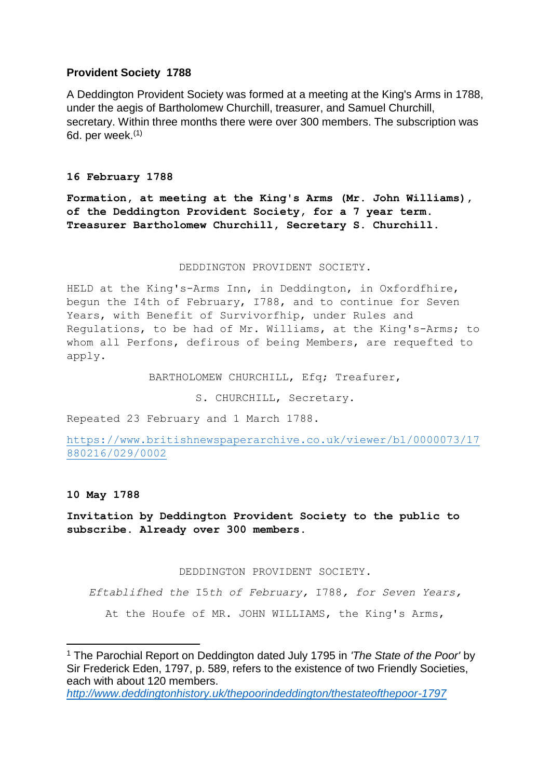# **Provident Society 1788**

A Deddington Provident Society was formed at a meeting at the King's Arms in 1788, under the aegis of Bartholomew Churchill, treasurer, and Samuel Churchill, secretary. Within three months there were over 300 members. The subscription was 6d. per week. $(1)$ 

### **16 February 1788**

**Formation, at meeting at the King's Arms (Mr. John Williams), of the Deddington Provident Society, for a 7 year term. Treasurer Bartholomew Churchill, Secretary S. Churchill.**

### DEDDINGTON PROVIDENT SOCIETY.

HELD at the King's-Arms Inn, in Deddington, in Oxfordfhire, begun the I4th of February, I788, and to continue for Seven Years, with Benefit of Survivorfhip, under Rules and Regulations, to be had of Mr. Williams, at the King's-Arms; to whom all Perfons, defirous of being Members, are requefted to apply.

BARTHOLOMEW CHURCHILL, Efq; Treafurer,

S. CHURCHILL, Secretary.

Repeated 23 February and 1 March 1788.

[https://www.britishnewspaperarchive.co.uk/viewer/bl/0000073/17](https://www.britishnewspaperarchive.co.uk/viewer/bl/0000073/17880216/029/0002) [880216/029/0002](https://www.britishnewspaperarchive.co.uk/viewer/bl/0000073/17880216/029/0002)

## **10 May 1788**

 $\overline{\phantom{a}}$ 

**Invitation by Deddington Provident Society to the public to subscribe. Already over 300 members.**

DEDDINGTON PROVIDENT SOCIETY.

*Eftablifhed the* I5*th of February,* I788*, for Seven Years,*

At the Houfe of MR. JOHN WILLIAMS, the King's Arms,

<sup>1</sup> The Parochial Report on Deddington dated July 1795 in *'The State of the Poor'* by Sir Frederick Eden, 1797, p. 589, refers to the existence of two Friendly Societies, each with about 120 members.

*<http://www.deddingtonhistory.uk/thepoorindeddington/thestateofthepoor-1797>*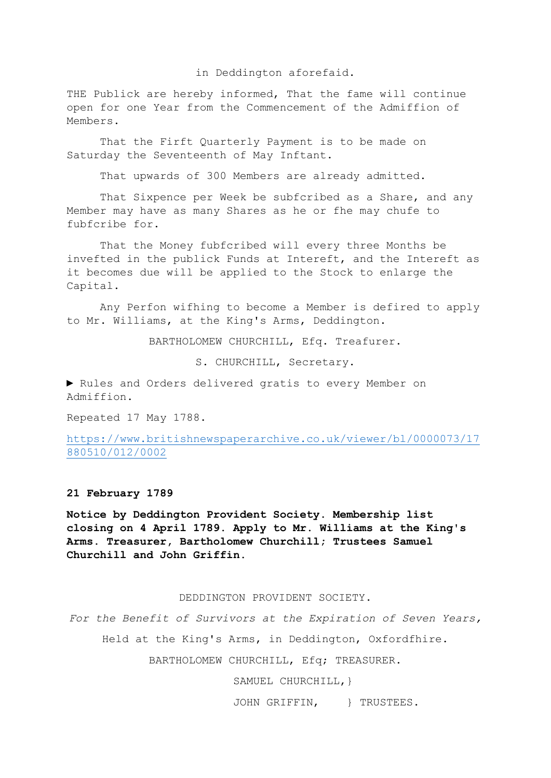in Deddington aforefaid.

THE Publick are hereby informed, That the fame will continue open for one Year from the Commencement of the Admiffion of Members.

That the Firft Quarterly Payment is to be made on Saturday the Seventeenth of May Inftant.

That upwards of 300 Members are already admitted.

That Sixpence per Week be subfcribed as a Share, and any Member may have as many Shares as he or fhe may chufe to fubfcribe for.

That the Money fubfcribed will every three Months be invefted in the publick Funds at Intereft, and the Intereft as it becomes due will be applied to the Stock to enlarge the Capital.

Any Perfon wifhing to become a Member is defired to apply to Mr. Williams, at the King's Arms, Deddington.

BARTHOLOMEW CHURCHILL, Efq. Treafurer.

S. CHURCHILL, Secretary.

► Rules and Orders delivered gratis to every Member on Admiffion.

Repeated 17 May 1788.

[https://www.britishnewspaperarchive.co.uk/viewer/bl/0000073/17](https://www.britishnewspaperarchive.co.uk/viewer/bl/0000073/17880510/012/0002) [880510/012/0002](https://www.britishnewspaperarchive.co.uk/viewer/bl/0000073/17880510/012/0002)

**21 February 1789**

**Notice by Deddington Provident Society. Membership list closing on 4 April 1789. Apply to Mr. Williams at the King's Arms. Treasurer, Bartholomew Churchill; Trustees Samuel Churchill and John Griffin.**

#### DEDDINGTON PROVIDENT SOCIETY.

*For the Benefit of Survivors at the Expiration of Seven Years,* Held at the King's Arms, in Deddington, Oxfordfhire. BARTHOLOMEW CHURCHILL, Efq; TREASURER.

SAMUEL CHURCHILL, }

JOHN GRIFFIN, } TRUSTEES.